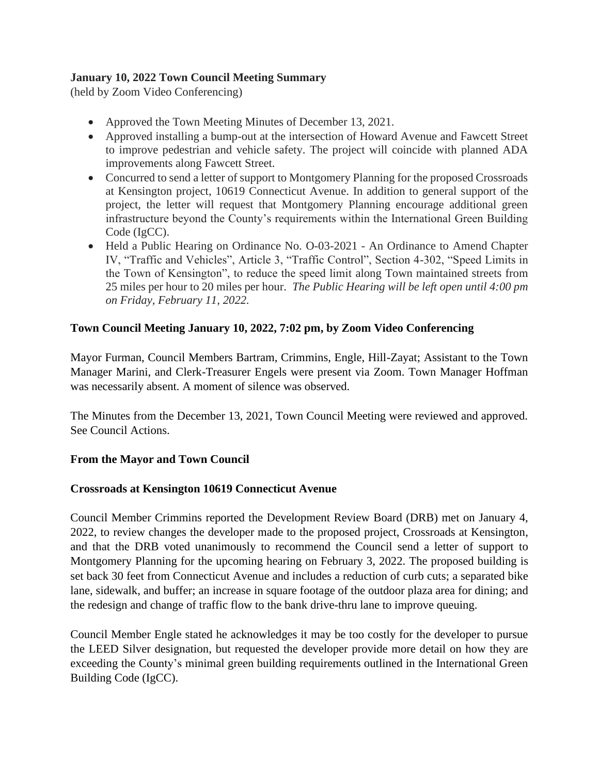## **January 10, 2022 Town Council Meeting Summary**

(held by Zoom Video Conferencing)

- Approved the Town Meeting Minutes of December 13, 2021.
- Approved installing a bump-out at the intersection of Howard Avenue and Fawcett Street to improve pedestrian and vehicle safety. The project will coincide with planned ADA improvements along Fawcett Street.
- Concurred to send a letter of support to Montgomery Planning for the proposed Crossroads at Kensington project, 10619 Connecticut Avenue. In addition to general support of the project, the letter will request that Montgomery Planning encourage additional green infrastructure beyond the County's requirements within the International Green Building Code (IgCC).
- Held a Public Hearing on [Ordinance No. O-03-2021](https://tok.md.gov/ordinance-no-o-03-2021-20-mph-speed-limit/) An Ordinance to Amend Chapter IV, "Traffic and Vehicles", Article 3, "Traffic Control", Section 4-302, "Speed Limits in the Town of Kensington", to reduce the speed limit along Town maintained streets from 25 miles per hour to 20 miles per hour. *The Public Hearing will be left open until 4:00 pm on Friday, February 11, 2022.*

# **Town Council Meeting January 10, 2022, 7:02 pm, by Zoom Video Conferencing**

Mayor Furman, Council Members Bartram, Crimmins, Engle, Hill-Zayat; Assistant to the Town Manager Marini, and Clerk-Treasurer Engels were present via Zoom. Town Manager Hoffman was necessarily absent. A moment of silence was observed.

The Minutes from the December 13, 2021, Town Council Meeting were reviewed and approved. See Council Actions.

### **From the Mayor and Town Council**

### **Crossroads at Kensington 10619 Connecticut Avenue**

Council Member Crimmins reported the Development Review Board (DRB) met on January 4, 2022, to review changes the developer made to the proposed project, Crossroads at Kensington, and that the DRB voted unanimously to recommend the Council send a letter of support to Montgomery Planning for the upcoming hearing on February 3, 2022. The proposed building is set back 30 feet from Connecticut Avenue and includes a reduction of curb cuts; a separated bike lane, sidewalk, and buffer; an increase in square footage of the outdoor plaza area for dining; and the redesign and change of traffic flow to the bank drive-thru lane to improve queuing.

Council Member Engle stated he acknowledges it may be too costly for the developer to pursue the LEED Silver designation, but requested the developer provide more detail on how they are exceeding the County's minimal green building requirements outlined in the International Green Building Code (IgCC).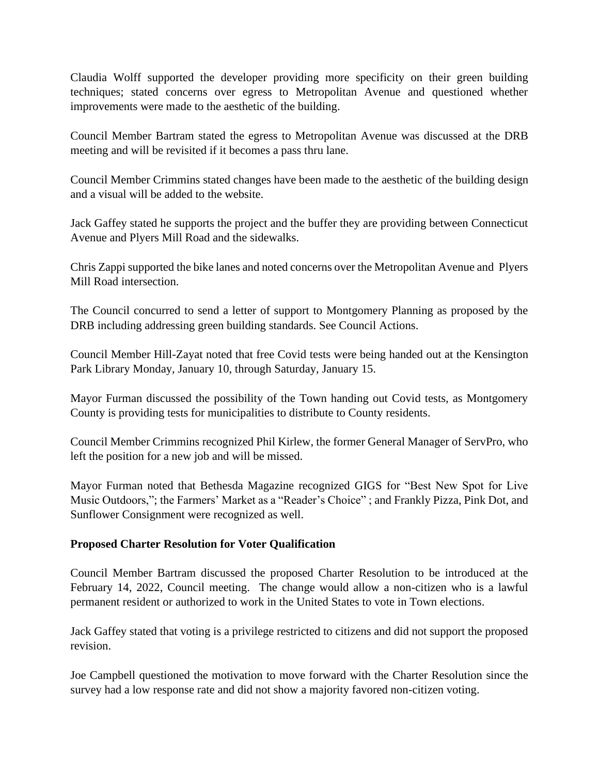Claudia Wolff supported the developer providing more specificity on their green building techniques; stated concerns over egress to Metropolitan Avenue and questioned whether improvements were made to the aesthetic of the building.

Council Member Bartram stated the egress to Metropolitan Avenue was discussed at the DRB meeting and will be revisited if it becomes a pass thru lane.

Council Member Crimmins stated changes have been made to the aesthetic of the building design and a visual will be added to the website.

Jack Gaffey stated he supports the project and the buffer they are providing between Connecticut Avenue and Plyers Mill Road and the sidewalks.

Chris Zappi supported the bike lanes and noted concerns over the Metropolitan Avenue and Plyers Mill Road intersection.

The Council concurred to send a letter of support to Montgomery Planning as proposed by the DRB including addressing green building standards. See Council Actions.

Council Member Hill-Zayat noted that free Covid tests were being handed out at the Kensington Park Library Monday, January 10, through Saturday, January 15.

Mayor Furman discussed the possibility of the Town handing out Covid tests, as Montgomery County is providing tests for municipalities to distribute to County residents.

Council Member Crimmins recognized Phil Kirlew, the former General Manager of ServPro, who left the position for a new job and will be missed.

Mayor Furman noted that Bethesda Magazine recognized GIGS for "Best New Spot for Live Music Outdoors,"; the Farmers' Market as a "Reader's Choice" ; and Frankly Pizza, Pink Dot, and Sunflower Consignment were recognized as well.

### **Proposed Charter Resolution for Voter Qualification**

Council Member Bartram discussed the proposed Charter Resolution to be introduced at the February 14, 2022, Council meeting. The change would allow a non-citizen who is a lawful permanent resident or authorized to work in the United States to vote in Town elections.

Jack Gaffey stated that voting is a privilege restricted to citizens and did not support the proposed revision.

Joe Campbell questioned the motivation to move forward with the Charter Resolution since the survey had a low response rate and did not show a majority favored non-citizen voting.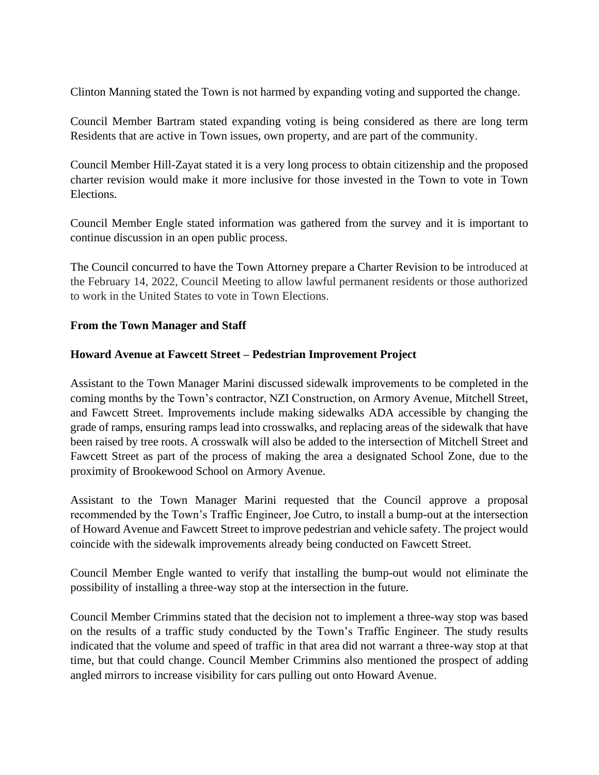Clinton Manning stated the Town is not harmed by expanding voting and supported the change.

Council Member Bartram stated expanding voting is being considered as there are long term Residents that are active in Town issues, own property, and are part of the community.

Council Member Hill-Zayat stated it is a very long process to obtain citizenship and the proposed charter revision would make it more inclusive for those invested in the Town to vote in Town Elections.

Council Member Engle stated information was gathered from the survey and it is important to continue discussion in an open public process.

The Council concurred to have the Town Attorney prepare a Charter Revision to be introduced at the February 14, 2022, Council Meeting to allow lawful permanent residents or those authorized to work in the United States to vote in Town Elections.

#### **From the Town Manager and Staff**

#### **Howard Avenue at Fawcett Street – Pedestrian Improvement Project**

Assistant to the Town Manager Marini discussed sidewalk improvements to be completed in the coming months by the Town's contractor, NZI Construction, on Armory Avenue, Mitchell Street, and Fawcett Street. Improvements include making sidewalks ADA accessible by changing the grade of ramps, ensuring ramps lead into crosswalks, and replacing areas of the sidewalk that have been raised by tree roots. A crosswalk will also be added to the intersection of Mitchell Street and Fawcett Street as part of the process of making the area a designated School Zone, due to the proximity of Brookewood School on Armory Avenue.

Assistant to the Town Manager Marini requested that the Council approve a proposal recommended by the Town's Traffic Engineer, Joe Cutro, to install a bump-out at the intersection of Howard Avenue and Fawcett Street to improve pedestrian and vehicle safety. The project would coincide with the sidewalk improvements already being conducted on Fawcett Street.

Council Member Engle wanted to verify that installing the bump-out would not eliminate the possibility of installing a three-way stop at the intersection in the future.

Council Member Crimmins stated that the decision not to implement a three-way stop was based on the results of a traffic study conducted by the Town's Traffic Engineer. The study results indicated that the volume and speed of traffic in that area did not warrant a three-way stop at that time, but that could change. Council Member Crimmins also mentioned the prospect of adding angled mirrors to increase visibility for cars pulling out onto Howard Avenue.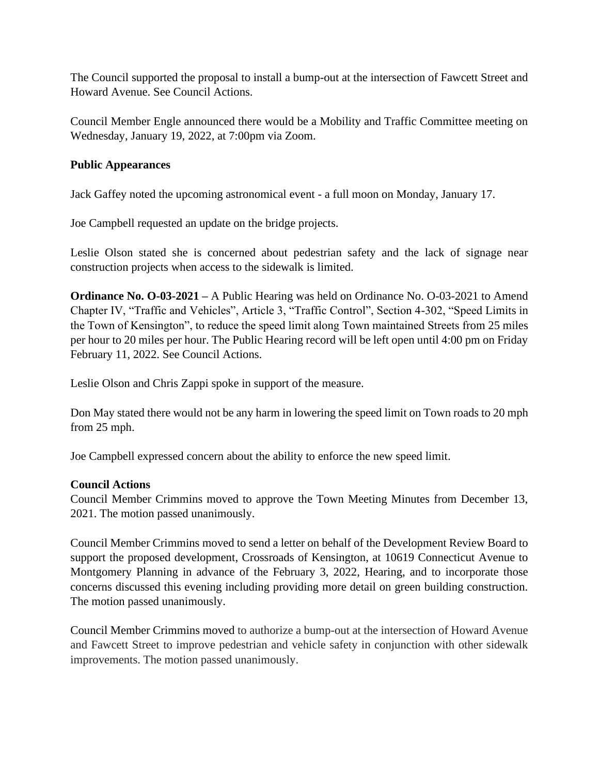The Council supported the proposal to install a bump-out at the intersection of Fawcett Street and Howard Avenue. See Council Actions.

Council Member Engle announced there would be a Mobility and Traffic Committee meeting on Wednesday, January 19, 2022, at 7:00pm via Zoom.

### **Public Appearances**

Jack Gaffey noted the upcoming astronomical event - a full moon on Monday, January 17.

Joe Campbell requested an update on the bridge projects.

Leslie Olson stated she is concerned about pedestrian safety and the lack of signage near construction projects when access to the sidewalk is limited.

**Ordinance No. O-03-2021 –** A Public Hearing was held on Ordinance No. O-03-2021 to Amend Chapter IV, "Traffic and Vehicles", Article 3, "Traffic Control", Section 4-302, "Speed Limits in the Town of Kensington", to reduce the speed limit along Town maintained Streets from 25 miles per hour to 20 miles per hour. The Public Hearing record will be left open until 4:00 pm on Friday February 11, 2022. See Council Actions.

Leslie Olson and Chris Zappi spoke in support of the measure.

Don May stated there would not be any harm in lowering the speed limit on Town roads to 20 mph from 25 mph.

Joe Campbell expressed concern about the ability to enforce the new speed limit.

### **Council Actions**

Council Member Crimmins moved to approve the Town Meeting Minutes from December 13, 2021. The motion passed unanimously.

Council Member Crimmins moved to send a letter on behalf of the Development Review Board to support the proposed development, Crossroads of Kensington, at 10619 Connecticut Avenue to Montgomery Planning in advance of the February 3, 2022, Hearing, and to incorporate those concerns discussed this evening including providing more detail on green building construction. The motion passed unanimously.

Council Member Crimmins moved to authorize a bump-out at the intersection of Howard Avenue and Fawcett Street to improve pedestrian and vehicle safety in conjunction with other sidewalk improvements. The motion passed unanimously.